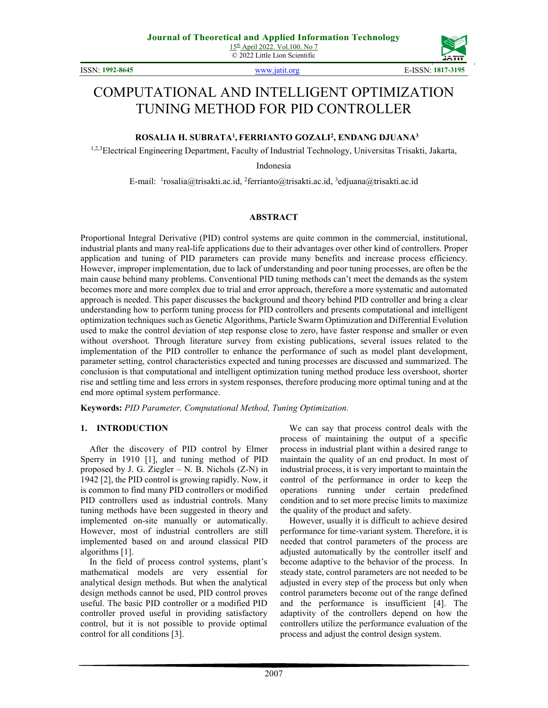© 2022 Little Lion Scientific

ISSN: **1992-8645** www.jatit.org E-ISSN: **1817-3195**



# COMPUTATIONAL AND INTELLIGENT OPTIMIZATION TUNING METHOD FOR PID CONTROLLER

## **ROSALIA H. SUBRATA<sup>1</sup> , FERRIANTO GOZALI<sup>2</sup> , ENDANG DJUANA<sup>3</sup>**

1,2,3Electrical Engineering Department, Faculty of Industrial Technology, Universitas Trisakti, Jakarta,

Indonesia

E-mail: <sup>1</sup>rosalia@trisakti.ac.id, <sup>2</sup>ferrianto@trisakti.ac.id, <sup>3</sup>edjuana@trisakti.ac.id

#### **ABSTRACT**

Proportional Integral Derivative (PID) control systems are quite common in the commercial, institutional, industrial plants and many real-life applications due to their advantages over other kind of controllers. Proper application and tuning of PID parameters can provide many benefits and increase process efficiency. However, improper implementation, due to lack of understanding and poor tuning processes, are often be the main cause behind many problems. Conventional PID tuning methods can't meet the demands as the system becomes more and more complex due to trial and error approach, therefore a more systematic and automated approach is needed. This paper discusses the background and theory behind PID controller and bring a clear understanding how to perform tuning process for PID controllers and presents computational and intelligent optimization techniques such as Genetic Algorithms, Particle Swarm Optimization and Differential Evolution used to make the control deviation of step response close to zero, have faster response and smaller or even without overshoot. Through literature survey from existing publications, several issues related to the implementation of the PID controller to enhance the performance of such as model plant development, parameter setting, control characteristics expected and tuning processes are discussed and summarized. The conclusion is that computational and intelligent optimization tuning method produce less overshoot, shorter rise and settling time and less errors in system responses, therefore producing more optimal tuning and at the end more optimal system performance.

**Keywords:** *PID Parameter, Computational Method, Tuning Optimization.* 

#### **1. INTRODUCTION**

After the discovery of PID control by Elmer Sperry in 1910 [1], and tuning method of PID proposed by J. G. Ziegler – N. B. Nichols (Z-N) in 1942 [2], the PID control is growing rapidly. Now, it is common to find many PID controllers or modified PID controllers used as industrial controls. Many tuning methods have been suggested in theory and implemented on-site manually or automatically. However, most of industrial controllers are still implemented based on and around classical PID algorithms [1].

In the field of process control systems, plant's mathematical models are very essential for analytical design methods. But when the analytical design methods cannot be used, PID control proves useful. The basic PID controller or a modified PID controller proved useful in providing satisfactory control, but it is not possible to provide optimal control for all conditions [3].

We can say that process control deals with the process of maintaining the output of a specific process in industrial plant within a desired range to maintain the quality of an end product. In most of industrial process, it is very important to maintain the control of the performance in order to keep the operations running under certain predefined condition and to set more precise limits to maximize the quality of the product and safety.

However, usually it is difficult to achieve desired performance for time-variant system. Therefore, it is needed that control parameters of the process are adjusted automatically by the controller itself and become adaptive to the behavior of the process. In steady state, control parameters are not needed to be adjusted in every step of the process but only when control parameters become out of the range defined and the performance is insufficient [4]. The adaptivity of the controllers depend on how the controllers utilize the performance evaluation of the process and adjust the control design system.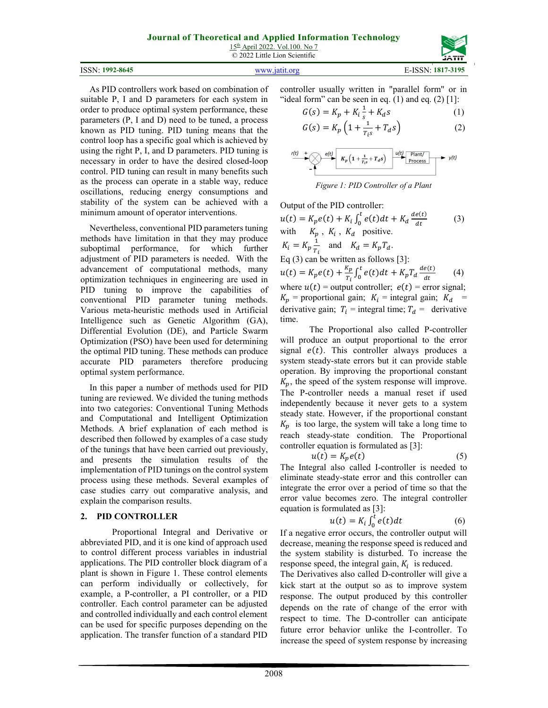15th April 2022. Vol.100. No 7 © 2022 Little Lion Scientific

|  | <b>ISSN: 1992-8645</b> |
|--|------------------------|
|--|------------------------|

ISSN: **1992-8645** www.jatit.org E-ISSN: **1817-3195**

As PID controllers work based on combination of suitable P, I and D parameters for each system in order to produce optimal system performance, these parameters (P, I and D) need to be tuned, a process known as PID tuning. PID tuning means that the control loop has a specific goal which is achieved by using the right P, I, and D parameters. PID tuning is necessary in order to have the desired closed-loop control. PID tuning can result in many benefits such as the process can operate in a stable way, reduce oscillations, reducing energy consumptions and stability of the system can be achieved with a minimum amount of operator interventions.

Nevertheless, conventional PID parameters tuning methods have limitation in that they may produce suboptimal performance, for which further adjustment of PID parameters is needed. With the advancement of computational methods, many optimization techniques in engineering are used in PID tuning to improve the capabilities of conventional PID parameter tuning methods. Various meta-heuristic methods used in Artificial Intelligence such as Genetic Algorithm (GA), Differential Evolution (DE), and Particle Swarm Optimization (PSO) have been used for determining the optimal PID tuning. These methods can produce accurate PID parameters therefore producing optimal system performance.

In this paper a number of methods used for PID tuning are reviewed. We divided the tuning methods into two categories: Conventional Tuning Methods and Computational and Intelligent Optimization Methods. A brief explanation of each method is described then followed by examples of a case study of the tunings that have been carried out previously, and presents the simulation results of the implementation of PID tunings on the control system process using these methods. Several examples of case studies carry out comparative analysis, and explain the comparison results.

## **2. PID CONTROLLER**

Proportional Integral and Derivative or abbreviated PID, and it is one kind of approach used to control different process variables in industrial applications. The PID controller block diagram of a plant is shown in Figure 1. These control elements can perform individually or collectively, for example, a P-controller, a PI controller, or a PID controller. Each control parameter can be adjusted and controlled individually and each control element can be used for specific purposes depending on the application. The transfer function of a standard PID controller usually written in "parallel form" or in "ideal form" can be seen in eq.  $(1)$  and eq.  $(2)$  [1]:

 $T_i s$ 

$$
G(s) = K_p + K_i \frac{1}{s} + K_d s
$$
 (1)  

$$
G(s) = K_p \left( 1 + \frac{1}{T_{cs}} + T_d s \right)
$$
 (2)

$$
\begin{array}{c}\n\hline\n\text{right} & + \text{set} \\
\hline\n\end{array}\n\qquad\n\begin{array}{c}\n\hline\n\text{eff} & K_p \left( 1 + \frac{1}{T_{is}} + T_{d} s \right) & \frac{u(t)}{P_{\text{recess}}} \\
\hline\n\end{array}\n\qquad\n\begin{array}{c}\n\hline\n\text{Plant/} \\
\hline\n\end{array}\n\qquad \qquad \text{Figure 1: PID Controller of a Plant}
$$

Output of the PID controller:  
\n
$$
u(t) = K_p e(t) + K_i \int_0^t e(t) dt + K_d \frac{de(t)}{dt}
$$
\n
$$
K_p, K_i, K_d \text{ positive.}
$$
\n
$$
K_i = K_p \frac{1}{T_i} \text{ and } K_d = K_p T_d.
$$
\nEq (3) can be written as follows [3]:  
\n
$$
u(t) = K_p e(t) + \frac{K_p}{T_i} \int_0^t e(t) dt + K_p T_d \frac{de(t)}{dt}
$$
\n
$$
v = W_i e(t) + \frac{K_p}{T_i} \int_0^t e(t) dt + K_p T_d \frac{de(t)}{dt}
$$
\n
$$
K_p = \text{proportional gain; } K_i = \text{integral gain; } K_d = \text{derivative gain; } T_i = \text{integral time; } T_d = \text{ derivative}
$$

time. The Proportional also called P-controller will produce an output proportional to the error signal  $e(t)$ . This controller always produces a system steady-state errors but it can provide stable operation. By improving the proportional constant  $K_p$ , the speed of the system response will improve. The P-controller needs a manual reset if used independently because it never gets to a system steady state. However, if the proportional constant  $K_n$  is too large, the system will take a long time to reach steady-state condition. The Proportional controller equation is formulated as [3]:

$$
u(t) = K_p e(t) \tag{5}
$$

The Integral also called I-controller is needed to eliminate steady-state error and this controller can integrate the error over a period of time so that the error value becomes zero. The integral controller equation is formulated as [3]:

$$
u(t) = K_i \int_0^t e(t) dt
$$
 (6)

If a negative error occurs, the controller output will decrease, meaning the response speed is reduced and the system stability is disturbed. To increase the response speed, the integral gain,  $K_i$  is reduced.

The Derivatives also called D-controller will give a kick start at the output so as to improve system response. The output produced by this controller depends on the rate of change of the error with respect to time. The D-controller can anticipate future error behavior unlike the I-controller. To increase the speed of system response by increasing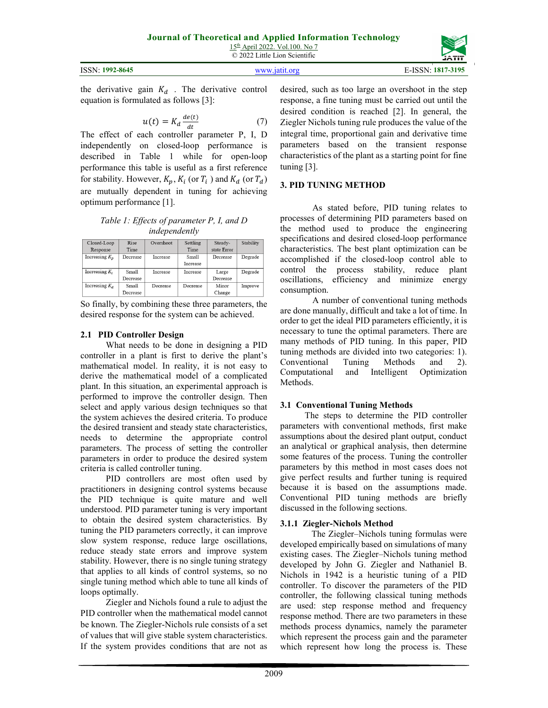2009

desired, such as too large an overshoot in the step response, a fine tuning must be carried out until the desired condition is reached [2]. In general, the Ziegler Nichols tuning rule produces the value of the integral time, proportional gain and derivative time parameters based on the transient response characteristics of the plant as a starting point for fine tuning [3].

## **3. PID TUNING METHOD**

As stated before, PID tuning relates to processes of determining PID parameters based on the method used to produce the engineering specifications and desired closed-loop performance characteristics. The best plant optimization can be accomplished if the closed-loop control able to control the process stability, reduce plant oscillations, efficiency and minimize energy consumption.

A number of conventional tuning methods are done manually, difficult and take a lot of time. In order to get the ideal PID parameters efficiently, it is necessary to tune the optimal parameters. There are many methods of PID tuning. In this paper, PID tuning methods are divided into two categories: 1). Conventional Tuning Methods and 2). Computational and Intelligent Optimization Methods.

#### **3.1 Conventional Tuning Methods**

 The steps to determine the PID controller parameters with conventional methods, first make assumptions about the desired plant output, conduct an analytical or graphical analysis, then determine some features of the process. Tuning the controller parameters by this method in most cases does not give perfect results and further tuning is required because it is based on the assumptions made. Conventional PID tuning methods are briefly discussed in the following sections.

#### **3.1.1 Ziegler-Nichols Method**

 The Ziegler–Nichols tuning formulas were developed empirically based on simulations of many existing cases. The Ziegler–Nichols tuning method developed by John G. Ziegler and Nathaniel B. Nichols in 1942 is a heuristic tuning of a PID controller. To discover the parameters of the PID controller, the following classical tuning methods are used: step response method and frequency response method. There are two parameters in these methods process dynamics, namely the parameter which represent the process gain and the parameter which represent how long the process is. These

So finally, by combining these three parameters, the desired response for the system can be achieved.

the derivative gain  $K_d$ . The derivative control

The effect of each controller parameter P, I, D independently on closed-loop performance is described in Table 1 while for open-loop performance this table is useful as a first reference for stability. However,  $K_p$ ,  $K_i$  (or  $T_i$ ) and  $K_d$  (or  $T_d$ ) are mutually dependent in tuning for achieving

> *Table 1: Effects of parameter P, I, and D independently*

> > Settling

Time

 $\overline{\text{Small}}$ 

Increase

Increase

Decrease

Steady-

state Error

Decrease

Large

Decrease

Minor

Change

Stability

Degrade

Degrade

Improve

Overshoot

Increase

Increase

Decrease

 $dt$ 

equation is formulated as follows [3]:

 $u(t) = K_d \frac{de(t)}{dt}$ 

optimum performance [1].

Rise

 $\rm Time$ 

Decrease

Small

Decrease

Small

Decrease

Closed-Loop

Response

Increasing  $K_p$ 

Increasing  $K_i$ 

Increasing  $K_d$ 

## **2.1 PID Controller Design**

What needs to be done in designing a PID controller in a plant is first to derive the plant's mathematical model. In reality, it is not easy to derive the mathematical model of a complicated plant. In this situation, an experimental approach is performed to improve the controller design. Then select and apply various design techniques so that the system achieves the desired criteria. To produce the desired transient and steady state characteristics, needs to determine the appropriate control parameters. The process of setting the controller parameters in order to produce the desired system criteria is called controller tuning.

PID controllers are most often used by practitioners in designing control systems because the PID technique is quite mature and well understood. PID parameter tuning is very important to obtain the desired system characteristics. By tuning the PID parameters correctly, it can improve slow system response, reduce large oscillations, reduce steady state errors and improve system stability. However, there is no single tuning strategy that applies to all kinds of control systems, so no single tuning method which able to tune all kinds of loops optimally.

Ziegler and Nichols found a rule to adjust the PID controller when the mathematical model cannot be known. The Ziegler-Nichols rule consists of a set of values that will give stable system characteristics. If the system provides conditions that are not as

## ISSN: **1992-8645** www.jatit.org E-ISSN: **1817-3195**



(7)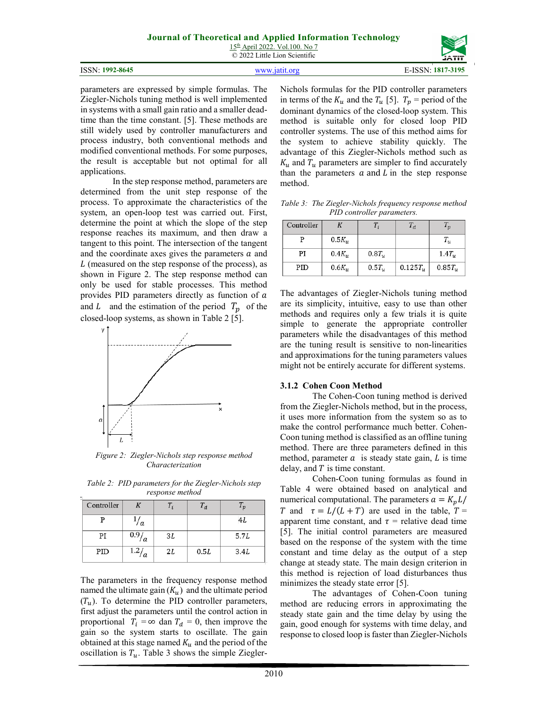15th April 2022. Vol.100. No 7 © 2022 Little Lion Scientific

|                         | -----                               |
|-------------------------|-------------------------------------|
| 1992-8645<br>ISSN:<br>. | 1.73197<br><b>TOON</b><br>'N<br>ה ו |

parameters are expressed by simple formulas. The Ziegler-Nichols tuning method is well implemented in systems with a small gain ratio and a smaller deadtime than the time constant. [5]. These methods are still widely used by controller manufacturers and process industry, both conventional methods and modified conventional methods. For some purposes, the result is acceptable but not optimal for all applications.

In the step response method, parameters are determined from the unit step response of the process. To approximate the characteristics of the system, an open-loop test was carried out. First, determine the point at which the slope of the step response reaches its maximum, and then draw a tangent to this point. The intersection of the tangent and the coordinate axes gives the parameters  $a$  and  $L$  (measured on the step response of the process), as shown in Figure 2. The step response method can only be used for stable processes. This method provides PID parameters directly as function of  $a$ and L and the estimation of the period  $T_p$  of the closed-loop systems, as shown in Table 2 [5].



*Figure 2: Ziegler-Nichols step response method Characterization* 

*Table 2: PID parameters for the Ziegler-Nichols step response method* 

| Controller |            |    | $T_{d}$ | $\tau_{p}$ |
|------------|------------|----|---------|------------|
| р          | a          |    |         | 4L         |
| PI         | 0.9/<br>΄a | 3L |         | 5.7L       |
| PID        | 1.2/       | 2L | 0.5L    | 3.4L       |

The parameters in the frequency response method named the ultimate gain  $(K_u)$  and the ultimate period  $(T_u)$ . To determine the PID controller parameters, first adjust the parameters until the control action in proportional  $T_i = \infty$  dan  $T_d = 0$ , then improve the gain so the system starts to oscillate. The gain obtained at this stage named  $K_u$  and the period of the oscillation is  $T_u$ . Table 3 shows the simple ZieglerNichols formulas for the PID controller parameters in terms of the  $K_u$  and the  $T_u$  [5].  $T_p$  = period of the dominant dynamics of the closed-loop system. This method is suitable only for closed loop PID controller systems. The use of this method aims for the system to achieve stability quickly. The advantage of this Ziegler-Nichols method such as  $K_u$  and  $T_u$  parameters are simpler to find accurately than the parameters  $a$  and  $L$  in the step response method.

*Table 3: The Ziegler-Nichols frequency response method PID controller parameters.* 

| Controller |              |            | $T_d$          | $I_p$     |
|------------|--------------|------------|----------------|-----------|
| р          | $0.5K_{11}$  |            |                | $T_u$     |
| PI         | $0.4K_{u}$   | $0.8T_{u}$ |                | $1.4T_u$  |
| PID        | $0.6K_{\nu}$ | $0.5T_u$   | $0.125T_{\nu}$ | $0.85T_u$ |

The advantages of Ziegler-Nichols tuning method are its simplicity, intuitive, easy to use than other methods and requires only a few trials it is quite simple to generate the appropriate controller parameters while the disadvantages of this method are the tuning result is sensitive to non-linearities and approximations for the tuning parameters values might not be entirely accurate for different systems.

#### **3.1.2 Cohen Coon Method**

The Cohen-Coon tuning method is derived from the Ziegler-Nichols method, but in the process, it uses more information from the system so as to make the control performance much better. Cohen-Coon tuning method is classified as an offline tuning method. There are three parameters defined in this method, parameter  $a$  is steady state gain,  $L$  is time delay, and  $T$  is time constant.

Cohen-Coon tuning formulas as found in Table 4 were obtained based on analytical and numerical computational. The parameters  $a = K_p L /$ T and  $\tau = L/(L + T)$  are used in the table,  $T =$ apparent time constant, and  $\tau$  = relative dead time [5]. The initial control parameters are measured based on the response of the system with the time constant and time delay as the output of a step change at steady state. The main design criterion in this method is rejection of load disturbances thus minimizes the steady state error [5].

The advantages of Cohen-Coon tuning method are reducing errors in approximating the steady state gain and the time delay by using the gain, good enough for systems with time delay, and response to closed loop is faster than Ziegler-Nichols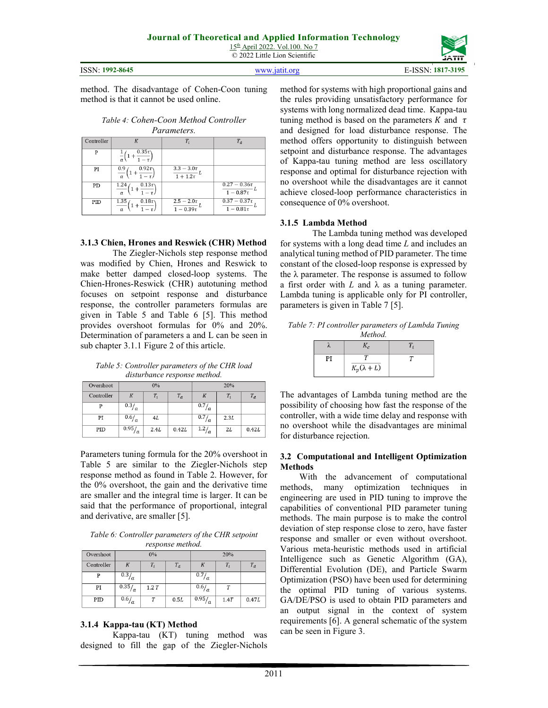ISSN: **1992-8645** www.jatit.org E-ISSN: **1817-3195**

method. The disadvantage of Cohen-Coon tuning method is that it cannot be used online.

*Table 4: Cohen-Coon Method Controller Parameters.*

| Controller | K                                                     | $T_i$                             | $T_d$                                        |
|------------|-------------------------------------------------------|-----------------------------------|----------------------------------------------|
| P          | $0.35\tau$<br>$-\tau$                                 |                                   |                                              |
| PI         | $0.92\tau$<br>0.9<br>$\overline{a}$                   | $3.3 - 3.0\tau$<br>$1 + 1.2\tau$  |                                              |
| PD         | $0.13\tau$<br>1.24<br>$\overline{1-\tau}$<br>$\alpha$ |                                   | $0.27 - 0.36\tau$<br>$1 - 0.87\tau$          |
| PID        | 1.35<br>$0.18\tau$<br>$\overline{a}$                  | $2.5 - 2.0\tau$<br>$1 - 0.39\tau$ | $0.37 - 0.37\tau$<br>$\overline{1-0.81}\tau$ |

## **3.1.3 Chien, Hrones and Reswick (CHR) Method**

The Ziegler-Nichols step response method was modified by Chien, Hrones and Reswick to make better damped closed-loop systems. The Chien-Hrones-Reswick (CHR) autotuning method focuses on setpoint response and disturbance response, the controller parameters formulas are given in Table 5 and Table 6 [5]. This method provides overshoot formulas for 0% and 20%. Determination of parameters a and L can be seen in sub chapter 3.1.1 Figure 2 of this article.

*Table 5: Controller parameters of the CHR load disturbance response method.* 

| Overshoot  |                    | $0\%$ |       |                    | 20%  |       |
|------------|--------------------|-------|-------|--------------------|------|-------|
| Controller | K                  | Τ,    | $T_d$ | К                  |      | $T_d$ |
| P          | $\sqrt{0.3}/a$     |       |       | 0.7<br>Ιa          |      |       |
| PI         | $\overline{0.6}/a$ | 4L    |       | 0.7/<br>Ιa         | 2.3L |       |
| PID        | 0.95/<br>Ιa        | 2.4L  | 0.42L | $\overline{1.2}_a$ | 2L   | 0.42L |

Parameters tuning formula for the 20% overshoot in Table 5 are similar to the Ziegler-Nichols step response method as found in Table 2. However, for the 0% overshoot, the gain and the derivative time are smaller and the integral time is larger. It can be said that the performance of proportional, integral and derivative, are smaller [5].

*Table 6: Controller parameters of the CHR setpoint response method.* 

| $. 256.00$ $. 1.000$ |                    |       |       |                     |       |       |
|----------------------|--------------------|-------|-------|---------------------|-------|-------|
| Overshoot            |                    | $0\%$ |       |                     | 20%   |       |
| Controller           |                    |       | $T_d$ |                     | $T_i$ | $T_d$ |
| P                    | $\sqrt{0.3/2}$     |       |       | $\sqrt{0.7}/a$      |       |       |
| PI                   | 0.35/a             | 1.2T  |       | $\overline{0.6/}_a$ |       |       |
| PID                  | $\overline{0.6}/a$ |       | 0.5L  | 0.95/<br>l a        | 1.4T  | 0.47L |

## **3.1.4 Kappa-tau (KT) Method**

Kappa-tau (KT) tuning method was designed to fill the gap of the Ziegler-Nichols method for systems with high proportional gains and the rules providing unsatisfactory performance for systems with long normalized dead time. Kappa-tau tuning method is based on the parameters K and  $\tau$ and designed for load disturbance response. The method offers opportunity to distinguish between setpoint and disturbance response. The advantages of Kappa-tau tuning method are less oscillatory response and optimal for disturbance rejection with no overshoot while the disadvantages are it cannot achieve closed-loop performance characteristics in consequence of 0% overshoot.

## **3.1.5 Lambda Method**

The Lambda tuning method was developed for systems with a long dead time *L* and includes an analytical tuning method of PID parameter. The time constant of the closed-loop response is expressed by the  $\lambda$  parameter. The response is assumed to follow a first order with  $L$  and  $\lambda$  as a tuning parameter. Lambda tuning is applicable only for PI controller, parameters is given in Table 7 [5].

*Table 7: PI controller parameters of Lambda Tuning Method.* 

| $K_p(\lambda + L)$ |  |
|--------------------|--|

The advantages of Lambda tuning method are the possibility of choosing how fast the response of the controller, with a wide time delay and response with no overshoot while the disadvantages are minimal for disturbance rejection.

#### **3.2 Computational and Intelligent Optimization Methods**

With the advancement of computational methods, many optimization techniques in engineering are used in PID tuning to improve the capabilities of conventional PID parameter tuning methods. The main purpose is to make the control deviation of step response close to zero, have faster response and smaller or even without overshoot. Various meta-heuristic methods used in artificial Intelligence such as Genetic Algorithm (GA), Differential Evolution (DE), and Particle Swarm Optimization (PSO) have been used for determining the optimal PID tuning of various systems. GA/DE/PSO is used to obtain PID parameters and an output signal in the context of system requirements [6]. A general schematic of the system can be seen in Figure 3.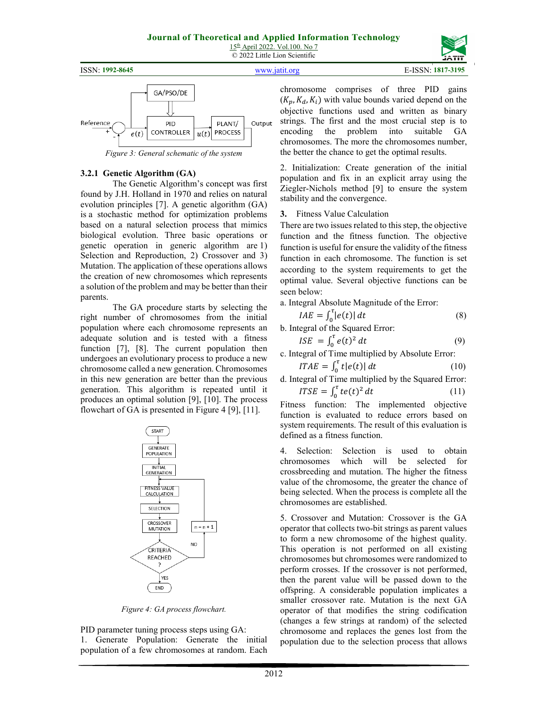ISSN: **1992-8645** www.jatit.org E-ISSN: **1817-3195**





*Figure 3: General schematic of the system* 

#### **3.2.1 Genetic Algorithm (GA)**

The Genetic Algorithm's concept was first found by J.H. Holland in 1970 and relies on natural evolution principles [7]. A genetic algorithm (GA) is a stochastic method for optimization problems based on a natural selection process that mimics biological evolution. Three basic operations or genetic operation in generic algorithm are 1) Selection and Reproduction, 2) Crossover and 3) Mutation. The application of these operations allows the creation of new chromosomes which represents a solution of the problem and may be better than their parents.

The GA procedure starts by selecting the right number of chromosomes from the initial population where each chromosome represents an adequate solution and is tested with a fitness function [7], [8]. The current population then undergoes an evolutionary process to produce a new chromosome called a new generation. Chromosomes in this new generation are better than the previous generation. This algorithm is repeated until it produces an optimal solution [9], [10]. The process flowchart of GA is presented in Figure 4 [9], [11].



*Figure 4: GA process flowchart.* 

PID parameter tuning process steps using GA: 1. Generate Population: Generate the initial population of a few chromosomes at random. Each chromosome comprises of three PID gains  $(K_n, K_d, K_i)$  with value bounds varied depend on the objective functions used and written as binary strings. The first and the most crucial step is to encoding the problem into suitable GA chromosomes. The more the chromosomes number, the better the chance to get the optimal results.

2. Initialization: Create generation of the initial population and fix in an explicit array using the Ziegler-Nichols method [9] to ensure the system stability and the convergence.

**3.** Fitness Value Calculation

There are two issues related to this step, the objective function and the fitness function. The objective function is useful for ensure the validity of the fitness function in each chromosome. The function is set according to the system requirements to get the optimal value. Several objective functions can be seen below:

a. Integral Absolute Magnitude of the Error:

$$
IAE = \int_0^{\tau} |e(t)| dt \tag{8}
$$

b. Integral of the Squared Error:

$$
ISE = \int_0^{\tau} e(t)^2 dt \tag{9}
$$

c. Integral of Time multiplied by Absolute Error:

$$
ITAE = \int_0^\tau t|e(t)|\,dt\tag{10}
$$

d. Integral of Time multiplied by the Squared Error:  $ITSE = \int_0^{\tau} te(t)^2$ (11)

 $\bf{0}$ Fitness function: The implemented objective function is evaluated to reduce errors based on system requirements. The result of this evaluation is defined as a fitness function.

4. Selection: Selection is used to obtain chromosomes which will be selected for crossbreeding and mutation. The higher the fitness value of the chromosome, the greater the chance of being selected. When the process is complete all the chromosomes are established.

5. Crossover and Mutation: Crossover is the GA operator that collects two-bit strings as parent values to form a new chromosome of the highest quality. This operation is not performed on all existing chromosomes but chromosomes were randomized to perform crosses. If the crossover is not performed, then the parent value will be passed down to the offspring. A considerable population implicates a smaller crossover rate. Mutation is the next GA operator of that modifies the string codification (changes a few strings at random) of the selected chromosome and replaces the genes lost from the population due to the selection process that allows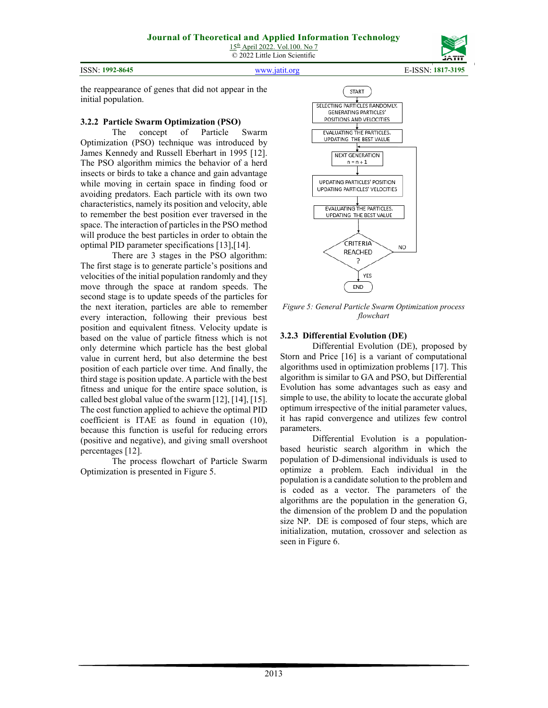ISSN: **1992-8645** www.jatit.org E-ISSN: **1817-3195**



the reappearance of genes that did not appear in the initial population.

#### **3.2.2 Particle Swarm Optimization (PSO)**

The concept of Particle Swarm Optimization (PSO) technique was introduced by James Kennedy and Russell Eberhart in 1995 [12]. The PSO algorithm mimics the behavior of a herd insects or birds to take a chance and gain advantage while moving in certain space in finding food or avoiding predators. Each particle with its own two characteristics, namely its position and velocity, able to remember the best position ever traversed in the space. The interaction of particles in the PSO method will produce the best particles in order to obtain the optimal PID parameter specifications [13],[14].

There are 3 stages in the PSO algorithm: The first stage is to generate particle's positions and velocities of the initial population randomly and they move through the space at random speeds. The second stage is to update speeds of the particles for the next iteration, particles are able to remember every interaction, following their previous best position and equivalent fitness. Velocity update is based on the value of particle fitness which is not only determine which particle has the best global value in current herd, but also determine the best position of each particle over time. And finally, the third stage is position update. A particle with the best fitness and unique for the entire space solution, is called best global value of the swarm [12], [14], [15]. The cost function applied to achieve the optimal PID coefficient is ITAE as found in equation (10), because this function is useful for reducing errors (positive and negative), and giving small overshoot percentages [12].

The process flowchart of Particle Swarm Optimization is presented in Figure 5.



*Figure 5: General Particle Swarm Optimization process flowchart* 

## **3.2.3 Differential Evolution (DE)**

Differential Evolution (DE), proposed by Storn and Price [16] is a variant of computational algorithms used in optimization problems [17]. This algorithm is similar to GA and PSO, but Differential Evolution has some advantages such as easy and simple to use, the ability to locate the accurate global optimum irrespective of the initial parameter values, it has rapid convergence and utilizes few control parameters.

Differential Evolution is a populationbased heuristic search algorithm in which the population of D-dimensional individuals is used to optimize a problem. Each individual in the population is a candidate solution to the problem and is coded as a vector. The parameters of the algorithms are the population in the generation G, the dimension of the problem D and the population size NP. DE is composed of four steps, which are initialization, mutation, crossover and selection as seen in Figure 6.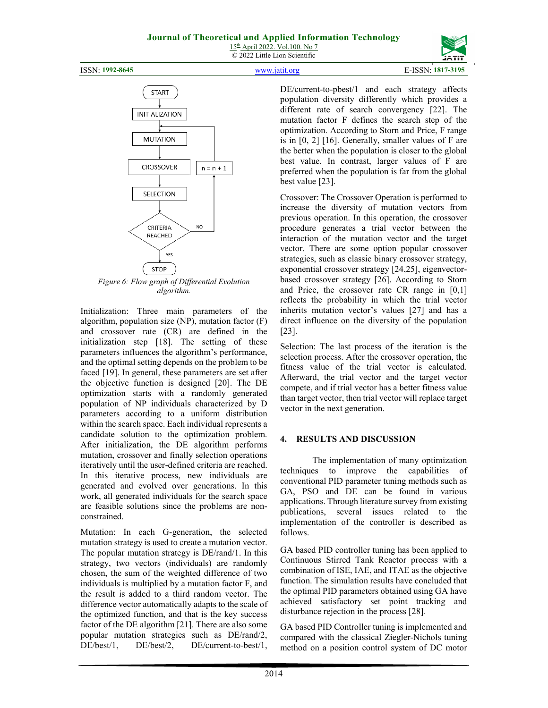ISSN: **1992-8645** www.jatit.org E-ISSN: **1817-3195**

**START INITIALIZATION MUTATION CROSSOVER**  $n = n + 1$ SELECTION CRITERIA NO **REACHED** YES STOP

*Figure 6: Flow graph of Differential Evolution algorithm.* 

Initialization: Three main parameters of the algorithm, population size (NP), mutation factor (F) and crossover rate (CR) are defined in the initialization step [18]. The setting of these parameters influences the algorithm's performance, and the optimal setting depends on the problem to be faced [19]. In general, these parameters are set after the objective function is designed [20]. The DE optimization starts with a randomly generated population of NP individuals characterized by D parameters according to a uniform distribution within the search space. Each individual represents a candidate solution to the optimization problem. After initialization, the DE algorithm performs mutation, crossover and finally selection operations iteratively until the user-defined criteria are reached. In this iterative process, new individuals are generated and evolved over generations. In this work, all generated individuals for the search space are feasible solutions since the problems are nonconstrained.

Mutation: In each G-generation, the selected mutation strategy is used to create a mutation vector. The popular mutation strategy is DE/rand/1. In this strategy, two vectors (individuals) are randomly chosen, the sum of the weighted difference of two individuals is multiplied by a mutation factor F, and the result is added to a third random vector. The difference vector automatically adapts to the scale of the optimized function, and that is the key success factor of the DE algorithm [21]. There are also some popular mutation strategies such as DE/rand/2, DE/best/1, DE/best/2, DE/current-to-best/1, DE/current-to-pbest/1 and each strategy affects population diversity differently which provides a different rate of search convergency [22]. The mutation factor F defines the search step of the optimization. According to Storn and Price, F range is in [0, 2] [16]. Generally, smaller values of F are the better when the population is closer to the global best value. In contrast, larger values of F are preferred when the population is far from the global best value [23].

Crossover: The Crossover Operation is performed to increase the diversity of mutation vectors from previous operation. In this operation, the crossover procedure generates a trial vector between the interaction of the mutation vector and the target vector. There are some option popular crossover strategies, such as classic binary crossover strategy, exponential crossover strategy [24,25], eigenvectorbased crossover strategy [26]. According to Storn and Price, the crossover rate CR range in [0,1] reflects the probability in which the trial vector inherits mutation vector's values [27] and has a direct influence on the diversity of the population [23].

Selection: The last process of the iteration is the selection process. After the crossover operation, the fitness value of the trial vector is calculated. Afterward, the trial vector and the target vector compete, and if trial vector has a better fitness value than target vector, then trial vector will replace target vector in the next generation.

## **4. RESULTS AND DISCUSSION**

The implementation of many optimization techniques to improve the capabilities of conventional PID parameter tuning methods such as GA, PSO and DE can be found in various applications. Through literature survey from existing publications, several issues related to the implementation of the controller is described as follows.

GA based PID controller tuning has been applied to Continuous Stirred Tank Reactor process with a combination of ISE, IAE, and ITAE as the objective function. The simulation results have concluded that the optimal PID parameters obtained using GA have achieved satisfactory set point tracking and disturbance rejection in the process [28].

GA based PID Controller tuning is implemented and compared with the classical Ziegler-Nichols tuning method on a position control system of DC motor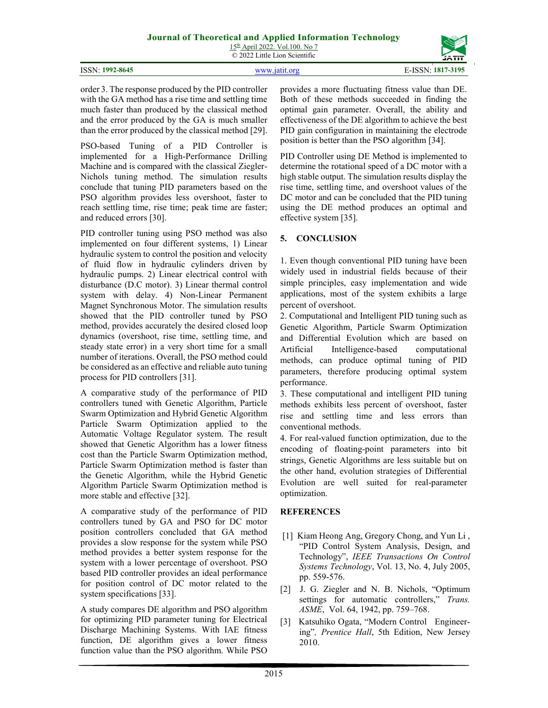and reduced errors [30].

process for PID controllers [31].

2015

provides a more fluctuating fitness value than DE. Both of these methods succeeded in finding the optimal gain parameter. Overall, the ability and effectiveness of the DE algorithm to achieve the best PID gain configuration in maintaining the electrode position is better than the PSO algorithm [34].

PID Controller using DE Method is implemented to determine the rotational speed of a DC motor with a high stable output. The simulation results display the rise time, settling time, and overshoot values of the DC motor and can be concluded that the PID tuning using the DE method produces an optimal and effective system [35].

## **5. CONCLUSION**

1. Even though conventional PID tuning have been widely used in industrial fields because of their simple principles, easy implementation and wide applications, most of the system exhibits a large percent of overshoot.

2. Computational and Intelligent PID tuning such as Genetic Algorithm, Particle Swarm Optimization and Differential Evolution which are based on Artificial Intelligence-based computational methods, can produce optimal tuning of PID parameters, therefore producing optimal system performance.

3. These computational and intelligent PID tuning methods exhibits less percent of overshoot, faster rise and settling time and less errors than conventional methods.

4. For real-valued function optimization, due to the encoding of floating-point parameters into bit strings, Genetic Algorithms are less suitable but on the other hand, evolution strategies of Differential Evolution are well suited for real-parameter optimization.

## **REFERENCES**

- [1] Kiam Heong Ang, Gregory Chong, and Yun Li , "PID Control System Analysis, Design, and Technology", *IEEE Transactions On Control Systems Technology*, Vol. 13, No. 4, July 2005, pp. 559-576.
- [2] J. G. Ziegler and N. B. Nichols, "Optimum settings for automatic controllers," *Trans. ASME*, Vol. 64, 1942, pp. 759–768.
- [3] Katsuhiko Ogata, "Modern Control Engineering"*, Prentice Hall*, 5th Edition, New Jersey 2010.

PID controller tuning using PSO method was also implemented on four different systems, 1) Linear hydraulic system to control the position and velocity of fluid flow in hydraulic cylinders driven by hydraulic pumps. 2) Linear electrical control with disturbance (D.C motor). 3) Linear thermal control system with delay. 4) Non-Linear Permanent Magnet Synchronous Motor. The simulation results showed that the PID controller tuned by PSO method, provides accurately the desired closed loop dynamics (overshoot, rise time, settling time, and steady state error) in a very short time for a small number of iterations. Overall, the PSO method could be considered as an effective and reliable auto tuning

order 3. The response produced by the PID controller with the GA method has a rise time and settling time much faster than produced by the classical method and the error produced by the GA is much smaller than the error produced by the classical method [29]. PSO-based Tuning of a PID Controller is implemented for a High-Performance Drilling Machine and is compared with the classical Ziegler-Nichols tuning method. The simulation results conclude that tuning PID parameters based on the PSO algorithm provides less overshoot, faster to reach settling time, rise time; peak time are faster;

A comparative study of the performance of PID controllers tuned with Genetic Algorithm, Particle Swarm Optimization and Hybrid Genetic Algorithm Particle Swarm Optimization applied to the Automatic Voltage Regulator system. The result showed that Genetic Algorithm has a lower fitness cost than the Particle Swarm Optimization method, Particle Swarm Optimization method is faster than the Genetic Algorithm, while the Hybrid Genetic Algorithm Particle Swarm Optimization method is more stable and effective [32].

A comparative study of the performance of PID controllers tuned by GA and PSO for DC motor position controllers concluded that GA method provides a slow response for the system while PSO method provides a better system response for the system with a lower percentage of overshoot. PSO based PID controller provides an ideal performance for position control of DC motor related to the system specifications [33].

A study compares DE algorithm and PSO algorithm for optimizing PID parameter tuning for Electrical Discharge Machining Systems. With IAE fitness function, DE algorithm gives a lower fitness function value than the PSO algorithm. While PSO

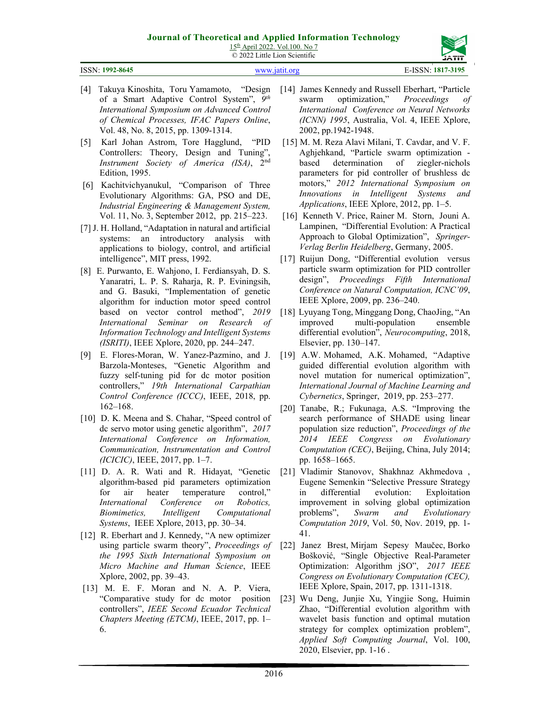15th April 2022. Vol.100. No 7 © 2022 Little Lion Scientific



#### ISSN: **1992-8645** www.jatit.org E-ISSN: **1817-3195**

- [4] Takuya Kinoshita, Toru Yamamoto, "Design of a Smart Adaptive Control System", *9 th International Symposium on Advanced Control of Chemical Processes, IFAC Papers Online*, Vol. 48, No. 8, 2015, pp. 1309-1314.
- [5] Karl Johan Astrom, Tore Hagglund, "PID Controllers: Theory, Design and Tuning", *Instrument Society of America (ISA)*, 2nd Edition, 1995.
- [6] Kachitvichyanukul, "Comparison of Three Evolutionary Algorithms: GA, PSO and DE, *Industrial Engineering & Management System,*  Vol. 11, No. 3, September 2012, pp. 215–223.
- [7] J. H. Holland, "Adaptation in natural and artificial systems: an introductory analysis with applications to biology, control, and artificial intelligence", MIT press, 1992.
- [8] E. Purwanto, E. Wahjono, I. Ferdiansyah, D. S. Yanaratri, L. P. S. Raharja, R. P. Eviningsih, and G. Basuki, "Implementation of genetic algorithm for induction motor speed control based on vector control method", *2019 International Seminar on Research of Information Technology and Intelligent Systems (ISRITI)*, IEEE Xplore, 2020, pp. 244–247.
- [9] E. Flores-Moran, W. Yanez-Pazmino, and J. Barzola-Monteses, "Genetic Algorithm and fuzzy self-tuning pid for dc motor position controllers," *19th International Carpathian Control Conference (ICCC)*, IEEE, 2018, pp. 162–168.
- [10] D. K. Meena and S. Chahar, "Speed control of dc servo motor using genetic algorithm", *2017 International Conference on Information, Communication, Instrumentation and Control (ICICIC)*, IEEE, 2017, pp. 1–7.
- [11] D. A. R. Wati and R. Hidayat, "Genetic algorithm-based pid parameters optimization for air heater temperature control," *International Conference on Robotics, Biomimetics, Intelligent Computational Systems*, IEEE Xplore, 2013, pp. 30–34.
- [12] R. Eberhart and J. Kennedy, "A new optimizer using particle swarm theory", *Proceedings of the 1995 Sixth International Symposium on Micro Machine and Human Science*, IEEE Xplore, 2002, pp. 39–43.
- [13] M. E. F. Moran and N. A. P. Viera, "Comparative study for dc motor position controllers", *IEEE Second Ecuador Technical Chapters Meeting (ETCM)*, IEEE, 2017, pp. 1– 6.
- [14] James Kennedy and Russell Eberhart, "Particle swarm optimization," *Proceedings of International Conference on Neural Networks (ICNN) 1995*, Australia, Vol. 4, IEEE Xplore, 2002, pp.1942-1948.
- [15] M. M. Reza Alavi Milani, T. Cavdar, and V. F. Aghjehkand, "Particle swarm optimization based determination of ziegler-nichols parameters for pid controller of brushless dc motors," *2012 International Symposium on Innovations in Intelligent Systems and Applications*, IEEE Xplore, 2012, pp. 1–5.
- [16] Kenneth V. Price, Rainer M. Storn, Jouni A. Lampinen, "Differential Evolution: A Practical Approach to Global Optimization", *Springer-Verlag Berlin Heidelberg*, Germany, 2005.
- [17] Ruijun Dong, "Differential evolution versus particle swarm optimization for PID controller design", *Proceedings Fifth International Conference on Natural Computation, ICNC'09*, IEEE Xplore, 2009, pp. 236–240.
- [18] Lyuyang Tong, Minggang Dong, ChaoJing, "An improved multi-population ensemble differential evolution", *Neurocomputing*, 2018, Elsevier, pp. 130–147.
- [19] A.W. Mohamed, A.K. Mohamed, "Adaptive guided differential evolution algorithm with novel mutation for numerical optimization", *International Journal of Machine Learning and Cybernetics*, Springer, 2019, pp. 253–277.
- [20] Tanabe, R.; Fukunaga, A.S. "Improving the search performance of SHADE using linear population size reduction", *Proceedings of the 2014 IEEE Congress on Evolutionary Computation (CEC)*, Beijing, China, July 2014; pp. 1658–1665.
- [21] Vladimir Stanovov, Shakhnaz Akhmedova , Eugene Semenkin "Selective Pressure Strategy in differential evolution: Exploitation improvement in solving global optimization problems", *Swarm and Evolutionary Computation 2019*, Vol. 50, Nov. 2019, pp. 1- 41.
- [22] Janez Brest, Mirjam Sepesy Maučec, Borko Bošković, "Single Objective Real-Parameter Optimization: Algorithm jSO", *2017 IEEE Congress on Evolutionary Computation (CEC),*  IEEE Xplore, Spain, 2017, pp. 1311-1318.
- [23] Wu Deng, Junjie Xu, Yingjie Song, Huimin Zhao, "Differential evolution algorithm with wavelet basis function and optimal mutation strategy for complex optimization problem", *Applied Soft Computing Journal*, Vol. 100, 2020, Elsevier, pp. 1-16 .